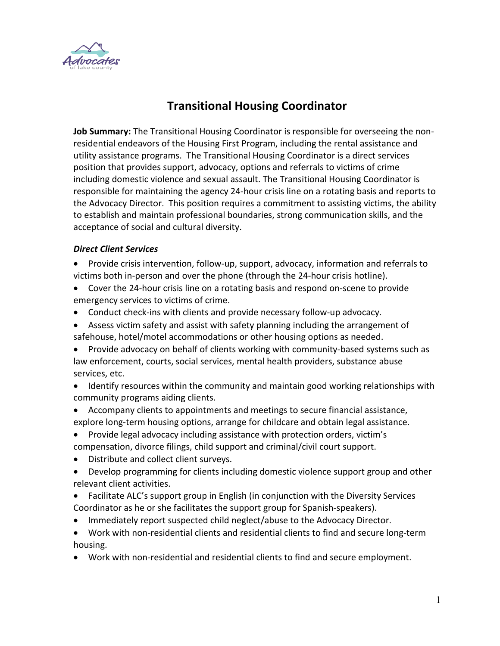

## **Transitional Housing Coordinator**

**Job Summary:** The Transitional Housing Coordinator is responsible for overseeing the nonresidential endeavors of the Housing First Program, including the rental assistance and utility assistance programs. The Transitional Housing Coordinator is a direct services position that provides support, advocacy, options and referrals to victims of crime including domestic violence and sexual assault. The Transitional Housing Coordinator is responsible for maintaining the agency 24-hour crisis line on a rotating basis and reports to the Advocacy Director. This position requires a commitment to assisting victims, the ability to establish and maintain professional boundaries, strong communication skills, and the acceptance of social and cultural diversity.

## *Direct Client Services*

- Provide crisis intervention, follow-up, support, advocacy, information and referrals to victims both in-person and over the phone (through the 24-hour crisis hotline).
- Cover the 24-hour crisis line on a rotating basis and respond on-scene to provide emergency services to victims of crime.
- Conduct check-ins with clients and provide necessary follow-up advocacy.
- Assess victim safety and assist with safety planning including the arrangement of safehouse, hotel/motel accommodations or other housing options as needed.
- Provide advocacy on behalf of clients working with community-based systems such as law enforcement, courts, social services, mental health providers, substance abuse services, etc.
- Identify resources within the community and maintain good working relationships with community programs aiding clients.
- Accompany clients to appointments and meetings to secure financial assistance, explore long-term housing options, arrange for childcare and obtain legal assistance.
- Provide legal advocacy including assistance with protection orders, victim's compensation, divorce filings, child support and criminal/civil court support.
- Distribute and collect client surveys.
- Develop programming for clients including domestic violence support group and other relevant client activities.
- Facilitate ALC's support group in English (in conjunction with the Diversity Services Coordinator as he or she facilitates the support group for Spanish-speakers).
- Immediately report suspected child neglect/abuse to the Advocacy Director.
- Work with non-residential clients and residential clients to find and secure long-term housing.
- Work with non-residential and residential clients to find and secure employment.